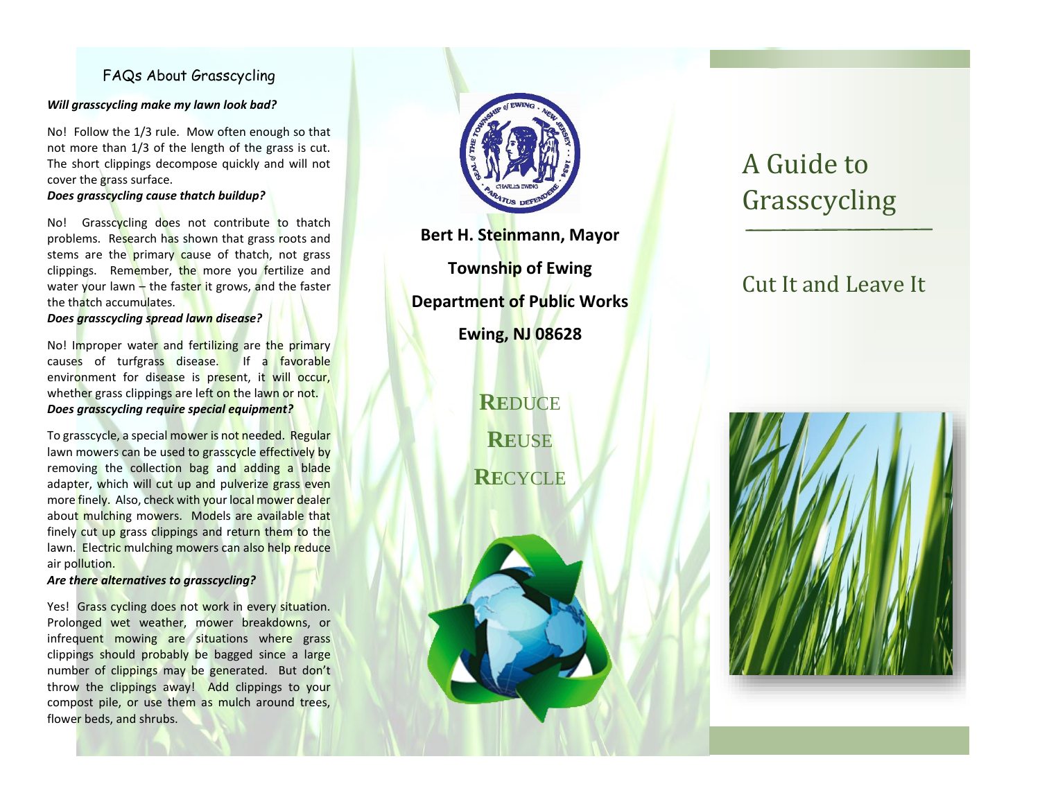### FAQs About Grasscycling

#### *Will grasscycling make my lawn look bad?*

No! Follow the 1/3 rule. Mow often enough so that not more than 1/3 of the length of the grass is cut. The short clippings decompose quickly and will not cover the grass surface.

#### *Does grasscycling cause thatch buildup?*

No! Grasscycling does not contribute to thatch problems. Research has shown that grass roots and stems are the primary cause of thatch, not grass clippings. Remember, the more you fertilize and water your lawn  $-$  the faster it grows, and the faster the thatch accumulates.

#### *Does grasscycling spread lawn disease?*

No! Improper water and fertilizing are the primary causes of turfgrass disease. If a favorable environment for disease is present, it will occur, whether grass clippings are left on the lawn or not. *Does grasscycling require special equipment?*

To grasscycle, a special mower is not needed. Regular lawn mowers can be used to grasscycle effectively by removing the collection bag and adding a blade adapter, which will cut up and pulverize grass even more finely. Also, check with your local mower dealer about mulching mowers. Models are available that finely cut up grass clippings and return them to the lawn. Electric mulching mowers can also help reduce air pollution.

#### *Are there alternatives to grasscycling?*

Yes! Grass cycling does not work in every situation. Prolonged wet weather, mower breakdowns, or infrequent mowing are situations where grass clippings should probably be bagged since a large number of clippings may be generated. But don't throw the clippings away! Add clippings to your compost pile, or use them as mulch around trees, flower beds, and shrubs.



**Bert H. Steinmann, Mayor Township of Ewing Department of Public Works Ewing, NJ 08628**

> **RE**DUCE **RE**USE **RE**CYCLE

# A Guide to Grasscycling

# Cut It and Leave It